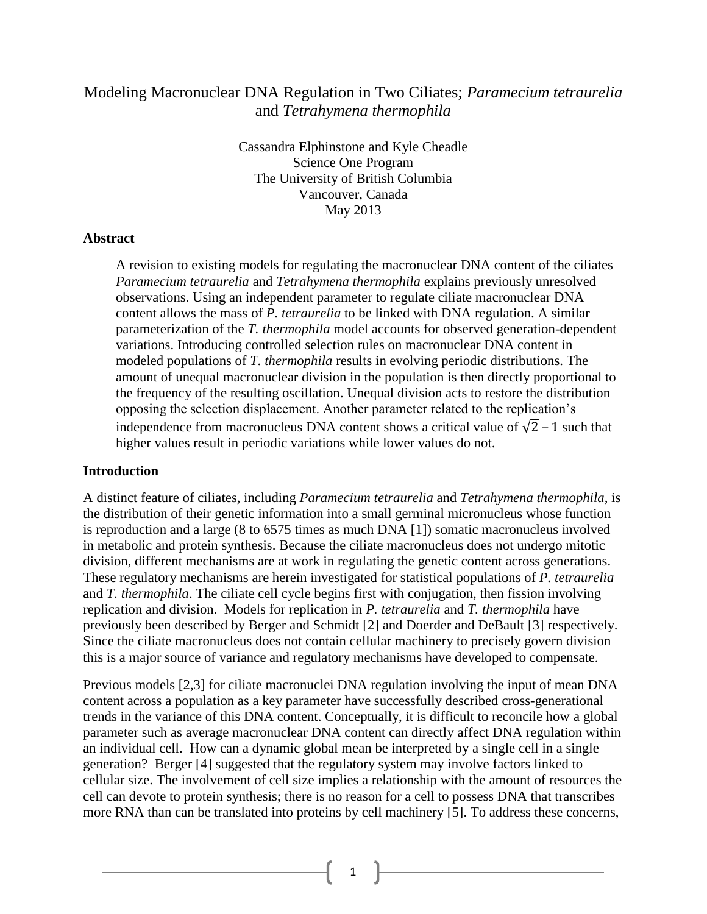# Modeling Macronuclear DNA Regulation in Two Ciliates; *Paramecium tetraurelia* and *Tetrahymena thermophila*

Cassandra Elphinstone and Kyle Cheadle Science One Program The University of British Columbia Vancouver, Canada May 2013

#### **Abstract**

A revision to existing models for regulating the macronuclear DNA content of the ciliates *Paramecium tetraurelia* and *Tetrahymena thermophila* explains previously unresolved observations. Using an independent parameter to regulate ciliate macronuclear DNA content allows the mass of *P. tetraurelia* to be linked with DNA regulation. A similar parameterization of the *T. thermophila* model accounts for observed generation-dependent variations. Introducing controlled selection rules on macronuclear DNA content in modeled populations of *T. thermophila* results in evolving periodic distributions. The amount of unequal macronuclear division in the population is then directly proportional to the frequency of the resulting oscillation. Unequal division acts to restore the distribution opposing the selection displacement. Another parameter related to the replication's independence from macronucleus DNA content shows a critical value of  $\sqrt{2}$  – 1 such that higher values result in periodic variations while lower values do not.

#### **Introduction**

A distinct feature of ciliates, including *Paramecium tetraurelia* and *Tetrahymena thermophila*, is the distribution of their genetic information into a small germinal micronucleus whose function is reproduction and a large (8 to 6575 times as much DNA [1]) somatic macronucleus involved in metabolic and protein synthesis. Because the ciliate macronucleus does not undergo mitotic division, different mechanisms are at work in regulating the genetic content across generations. These regulatory mechanisms are herein investigated for statistical populations of *P. tetraurelia*  and *T. thermophila*. The ciliate cell cycle begins first with conjugation, then fission involving replication and division. Models for replication in *P. tetraurelia* and *T. thermophila* have previously been described by Berger and Schmidt [2] and Doerder and DeBault [3] respectively. Since the ciliate macronucleus does not contain cellular machinery to precisely govern division this is a major source of variance and regulatory mechanisms have developed to compensate.

Previous models [2,3] for ciliate macronuclei DNA regulation involving the input of mean DNA content across a population as a key parameter have successfully described cross-generational trends in the variance of this DNA content. Conceptually, it is difficult to reconcile how a global parameter such as average macronuclear DNA content can directly affect DNA regulation within an individual cell. How can a dynamic global mean be interpreted by a single cell in a single generation? Berger [4] suggested that the regulatory system may involve factors linked to cellular size. The involvement of cell size implies a relationship with the amount of resources the cell can devote to protein synthesis; there is no reason for a cell to possess DNA that transcribes more RNA than can be translated into proteins by cell machinery [5]. To address these concerns,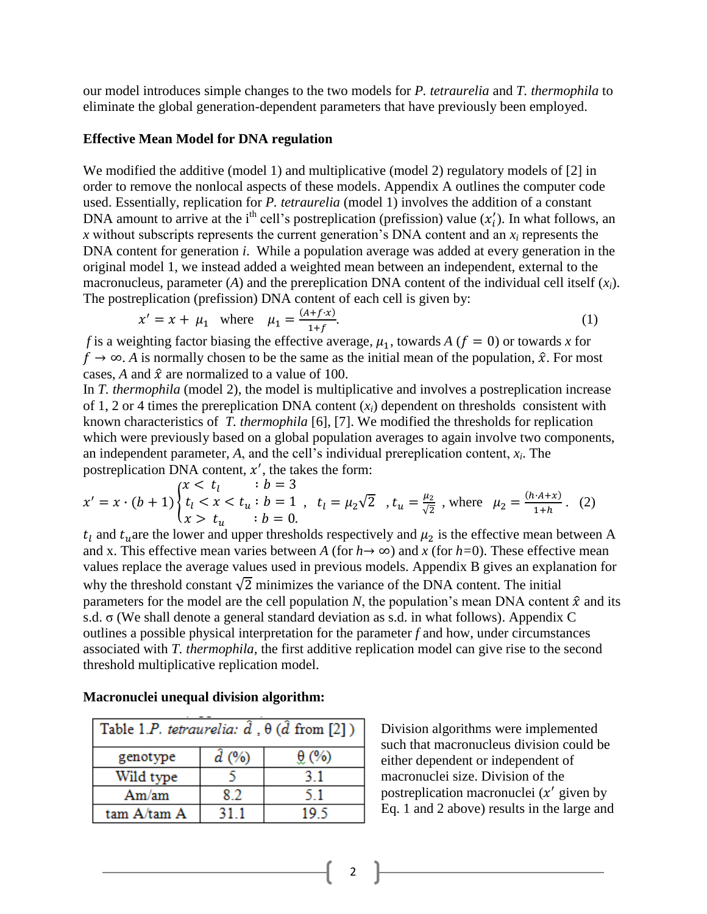our model introduces simple changes to the two models for *P. tetraurelia* and *T. thermophila* to eliminate the global generation-dependent parameters that have previously been employed.

#### **Effective Mean Model for DNA regulation**

We modified the additive (model 1) and multiplicative (model 2) regulatory models of [2] in order to remove the nonlocal aspects of these models. Appendix A outlines the computer code used. Essentially, replication for *P. tetraurelia* (model 1) involves the addition of a constant DNA amount to arrive at the i<sup>th</sup> cell's postreplication (prefission) value  $(x'_i)$ . In what follows, an *x* without subscripts represents the current generation's DNA content and an *x<sup>i</sup>* represents the DNA content for generation *i*. While a population average was added at every generation in the original model 1, we instead added a weighted mean between an independent, external to the macronucleus, parameter (*A*) and the prereplication DNA content of the individual cell itself (*xi*). The postreplication (prefission) DNA content of each cell is given by:

$$
x' = x + \mu_1
$$
 where  $\mu_1 = \frac{(A+f \cdot x)}{1+f}$ . (1)

*f* is a weighting factor biasing the effective average,  $\mu_1$ , towards *A* ( $f = 0$ ) or towards *x* for  $f \rightarrow \infty$ . *A* is normally chosen to be the same as the initial mean of the population,  $\hat{x}$ . For most cases, *A* and  $\hat{x}$  are normalized to a value of 100.

In *T. thermophila* (model 2), the model is multiplicative and involves a postreplication increase of 1, 2 or 4 times the prereplication DNA content  $(x_i)$  dependent on thresholds consistent with known characteristics of *T. thermophila* [6], [7]. We modified the thresholds for replication which were previously based on a global population averages to again involve two components, an independent parameter, *A*, and the cell's individual prereplication content, *x<sup>i</sup>* . The postreplication DNA content,  $x'$ , the takes the form:

$$
x' = x \cdot (b+1) \begin{cases} x < t_l & \text{if } b = 3\\ t_l < x < t_u \\ x > t_u \end{cases} \quad t_l = \mu_2 \sqrt{2} \quad t_u = \frac{\mu_2}{\sqrt{2}} \quad \text{where} \quad \mu_2 = \frac{(h \cdot A + x)}{1 + h} \tag{2}
$$

 $t_l$  and  $t_u$  are the lower and upper thresholds respectively and  $\mu_2$  is the effective mean between A and x. This effective mean varies between *A* (for  $h \rightarrow \infty$ ) and *x* (for  $h=0$ ). These effective mean values replace the average values used in previous models. Appendix B gives an explanation for why the threshold constant  $\sqrt{2}$  minimizes the variance of the DNA content. The initial parameters for the model are the cell population *N*, the population's mean DNA content  $\hat{x}$  and its s.d. σ (We shall denote a general standard deviation as s.d. in what follows). Appendix C outlines a possible physical interpretation for the parameter *f* and how, under circumstances associated with *T. thermophila,* the first additive replication model can give rise to the second threshold multiplicative replication model.

| Table 1.P. tetraurelia: $\hat{d}$ , $\theta$ ( $\hat{d}$ from [2]) |                |              |
|--------------------------------------------------------------------|----------------|--------------|
| genotype                                                           | $\ddot{d}$ (%) | $\theta$ (%) |
| Wild type                                                          |                | 31           |
| Am/mm                                                              | 8.2            | 51           |
| tam A/tam A                                                        |                | 19 S         |

**Macronuclei unequal division algorithm:** 

Division algorithms were implemented such that macronucleus division could be either dependent or independent of macronuclei size. Division of the postreplication macronuclei  $(x'$  given by Eq. 1 and 2 above) results in the large and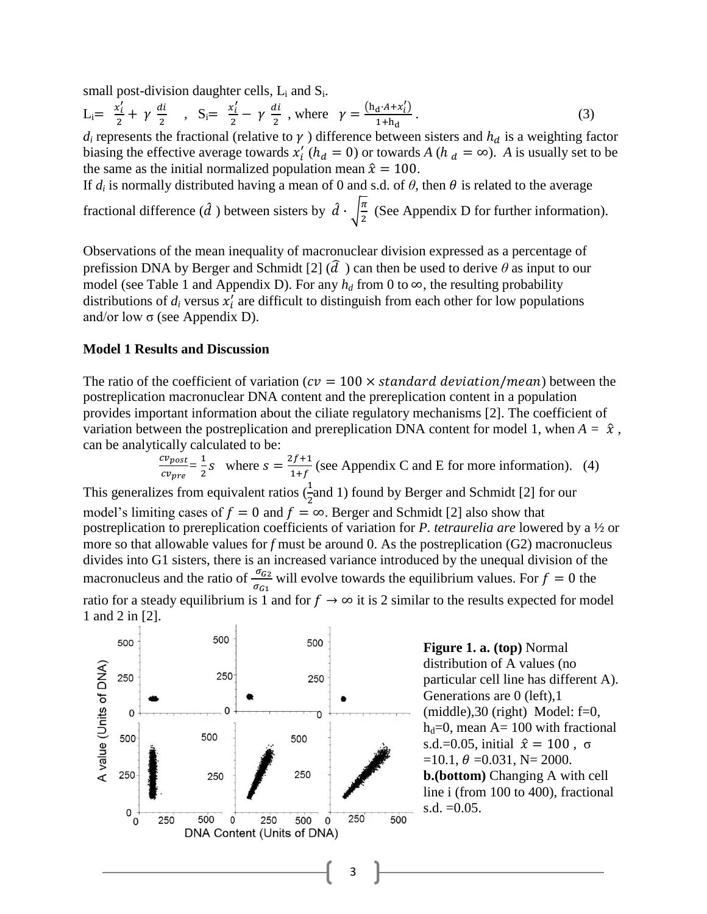small post-division daughter cells,  $L_i$  and  $S_i$ .

$$
L_i = \frac{x'_i}{2} + \gamma \frac{di}{2} \quad , \quad S_i = \frac{x'_i}{2} - \gamma \frac{di}{2} \quad , \text{where} \quad \gamma = \frac{(h_d \cdot A + x'_i)}{1 + h_d} \,. \tag{3}
$$

 $d_i$  represents the fractional (relative to  $\gamma$ ) difference between sisters and  $h_d$  is a weighting factor biasing the effective average towards  $x'_i$  ( $h_d = 0$ ) or towards *A* ( $h_d = \infty$ ). *A* is usually set to be the same as the initial normalized population mean  $\hat{x} = 100$ .

If  $d_i$  is normally distributed having a mean of 0 and s.d. of  $\theta$ , then  $\theta$  is related to the average fractional difference ( $\hat{d}$ ) between sisters by  $\hat{d} \cdot \left| \frac{\pi}{2} \right|$  $\frac{\pi}{2}$  (See Appendix D for further information).

Observations of the mean inequality of macronuclear division expressed as a percentage of prefission DNA by Berger and Schmidt [2]  $(\hat{d})$  can then be used to derive  $\theta$  as input to our model (see Table 1 and Appendix D). For any  $h_d$  from 0 to  $\infty$ , the resulting probability distributions of  $d_i$  versus  $x'_i$  are difficult to distinguish from each other for low populations and/or low  $\sigma$  (see Appendix D).

#### **Model 1 Results and Discussion**

The ratio of the coefficient of variation ( $cv = 100 \times standard$  deviation/mean) between the postreplication macronuclear DNA content and the prereplication content in a population provides important information about the ciliate regulatory mechanisms [2]. The coefficient of variation between the postreplication and prereplication DNA content for model 1, when  $A = \hat{x}$ , can be analytically calculated to be:

 $\overline{c}$  $\frac{cv_{post}}{cv_{nre}} = \frac{1}{2}$  $\frac{1}{2}s$  where  $s = \frac{2}{1}$  $\frac{f_2 f + 1}{1 + f}$  (see Appendix C and E for more information). (4)

This generalizes from equivalent ratios  $(\frac{1}{2}$  and 1) found by Berger and Schmidt [2] for our model's limiting cases of  $f = 0$  and  $f = \infty$ . Berger and Schmidt [2] also show that postreplication to prereplication coefficients of variation for *P. tetraurelia are* lowered by a ½ or more so that allowable values for *f* must be around 0. As the postreplication (G2) macronucleus divides into G1 sisters, there is an increased variance introduced by the unequal division of the macronucleus and the ratio of  $\frac{\partial G_2}{\partial G_1}$  will evolve towards the equilibrium values. For  $f = 0$  the ratio for a steady equilibrium is 1 and for  $f \to \infty$  it is 2 similar to the results expected for model 1 and 2 in [2].



**Figure 1. a. (top)** Normal distribution of A values (no particular cell line has different A). Generations are 0 (left),1  $(middle), 30 (right) Model: f=0,$  $h_d=0$ , mean A= 100 with fractional s.d.=0.05, initial  $\hat{x} = 100$ ,  $\sigma$  $=10.1, \theta =0.031, N= 2000.$ **b.(bottom)** Changing A with cell line i (from 100 to 400), fractional s.d.  $=0.05$ .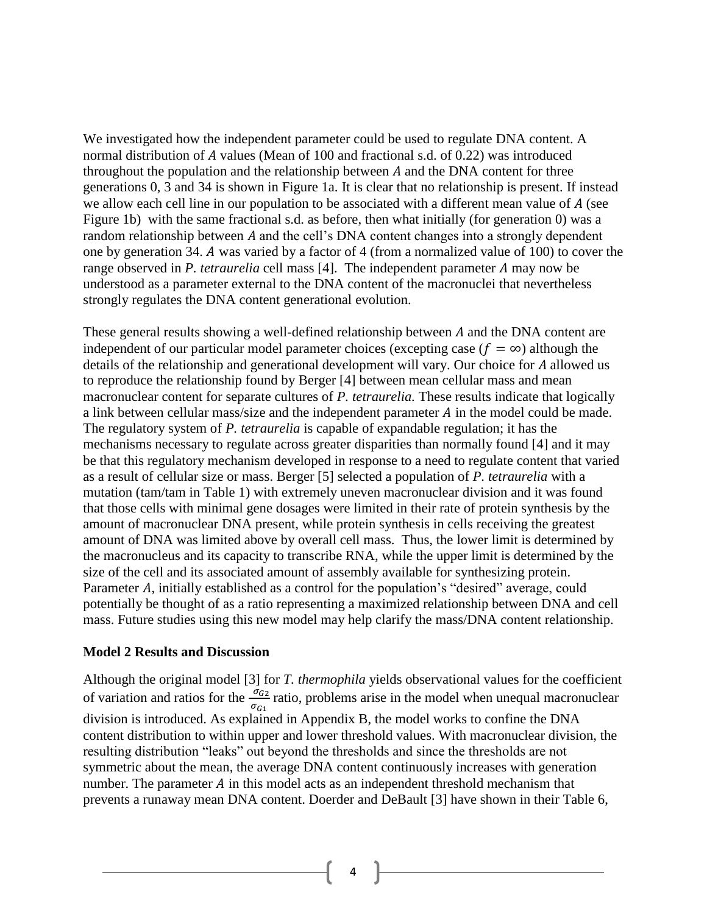We investigated how the independent parameter could be used to regulate DNA content. A normal distribution of  $\tilde{A}$  values (Mean of 100 and fractional s.d. of 0.22) was introduced throughout the population and the relationship between  $A$  and the DNA content for three generations 0, 3 and 34 is shown in Figure 1a. It is clear that no relationship is present. If instead we allow each cell line in our population to be associated with a different mean value of  $A$  (see Figure 1b) with the same fractional s.d. as before, then what initially (for generation 0) was a random relationship between A and the cell's DNA content changes into a strongly dependent one by generation 34. A was varied by a factor of 4 (from a normalized value of 100) to cover the range observed in *P. tetraurelia* cell mass [4]. The independent parameter A may now be understood as a parameter external to the DNA content of the macronuclei that nevertheless strongly regulates the DNA content generational evolution.

These general results showing a well-defined relationship between  $A$  and the DNA content are independent of our particular model parameter choices (excepting case ( $f = \infty$ ) although the details of the relationship and generational development will vary. Our choice for A allowed us to reproduce the relationship found by Berger [4] between mean cellular mass and mean macronuclear content for separate cultures of *P. tetraurelia.* These results indicate that logically a link between cellular mass/size and the independent parameter  $A$  in the model could be made. The regulatory system of *P. tetraurelia* is capable of expandable regulation; it has the mechanisms necessary to regulate across greater disparities than normally found [4] and it may be that this regulatory mechanism developed in response to a need to regulate content that varied as a result of cellular size or mass. Berger [5] selected a population of *P. tetraurelia* with a mutation (tam/tam in Table 1) with extremely uneven macronuclear division and it was found that those cells with minimal gene dosages were limited in their rate of protein synthesis by the amount of macronuclear DNA present, while protein synthesis in cells receiving the greatest amount of DNA was limited above by overall cell mass. Thus, the lower limit is determined by the macronucleus and its capacity to transcribe RNA, while the upper limit is determined by the size of the cell and its associated amount of assembly available for synthesizing protein. Parameter A, initially established as a control for the population's "desired" average, could potentially be thought of as a ratio representing a maximized relationship between DNA and cell mass. Future studies using this new model may help clarify the mass/DNA content relationship.

#### **Model 2 Results and Discussion**

Although the original model [3] for *T. thermophila* yields observational values for the coefficient of variation and ratios for the  $\frac{\partial G_2}{\partial G_1}$  ratio, problems arise in the model when unequal macronuclear division is introduced. As explained in Appendix B, the model works to confine the DNA content distribution to within upper and lower threshold values. With macronuclear division, the resulting distribution "leaks" out beyond the thresholds and since the thresholds are not symmetric about the mean, the average DNA content continuously increases with generation number. The parameter  $\vec{A}$  in this model acts as an independent threshold mechanism that prevents a runaway mean DNA content. Doerder and DeBault [3] have shown in their Table 6,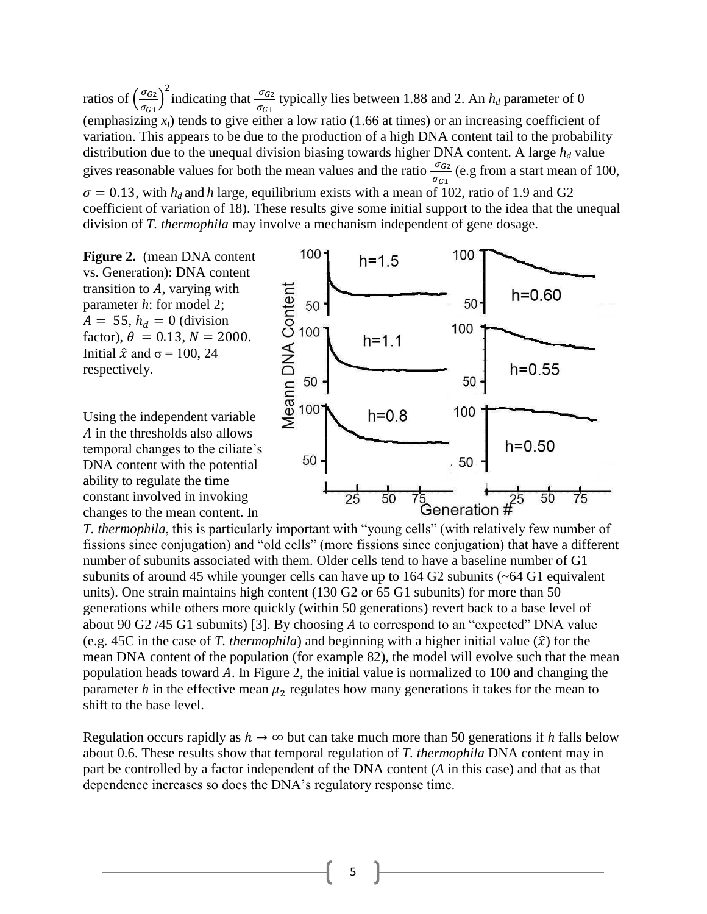ratios of  $\left(\frac{\sigma}{\sigma}\right)$  $\frac{\sigma_{G2}}{\sigma_{G1}}$  indicating that  $\frac{\sigma_{G2}}{\sigma_{G1}}$  typically lies between 1.88 and 2. An  $h_d$  parameter of 0 (emphasizing  $x_i$ ) tends to give either a low ratio (1.66 at times) or an increasing coefficient of variation. This appears to be due to the production of a high DNA content tail to the probability distribution due to the unequal division biasing towards higher DNA content. A large *h<sup>d</sup>* value gives reasonable values for both the mean values and the ratio  $\frac{\partial G_2}{\partial G_1}$  (e.g from a start mean of 100,

 $\sigma = 0.13$ , with  $h_d$  and h large, equilibrium exists with a mean of 102, ratio of 1.9 and G2 coefficient of variation of 18). These results give some initial support to the idea that the unequal division of *T. thermophila* may involve a mechanism independent of gene dosage.

**Figure 2.** (mean DNA content vs. Generation): DNA content transition to  $A$ , varying with parameter *h*: for model 2;  $A = 55$ ,  $h_d = 0$  (division factor),  $\theta = 0.13$ ,  $N = 2000$ . Initial  $\hat{x}$  and  $\sigma$  = 100, 24 respectively.

Using the independent variable A in the thresholds also allows temporal changes to the ciliate's DNA content with the potential ability to regulate the time constant involved in invoking changes to the mean content. In



fissions since conjugation) and "old cells" (more fissions since conjugation) that have a different number of subunits associated with them. Older cells tend to have a baseline number of G1 subunits of around 45 while younger cells can have up to  $164$  G2 subunits ( $\sim$  64 G1 equivalent units). One strain maintains high content (130 G2 or 65 G1 subunits) for more than 50 generations while others more quickly (within 50 generations) revert back to a base level of about 90 G2  $/45$  G1 subunits) [3]. By choosing A to correspond to an "expected" DNA value (e.g. 45C in the case of *T. thermophila*) and beginning with a higher initial value  $(\hat{x})$  for the mean DNA content of the population (for example 82), the model will evolve such that the mean population heads toward  $A$ . In Figure 2, the initial value is normalized to 100 and changing the parameter *h* in the effective mean  $\mu_2$  regulates how many generations it takes for the mean to shift to the base level.

Regulation occurs rapidly as  $h \to \infty$  but can take much more than 50 generations if *h* falls below about 0.6. These results show that temporal regulation of *T. thermophila* DNA content may in part be controlled by a factor independent of the DNA content (*A* in this case) and that as that dependence increases so does the DNA's regulatory response time.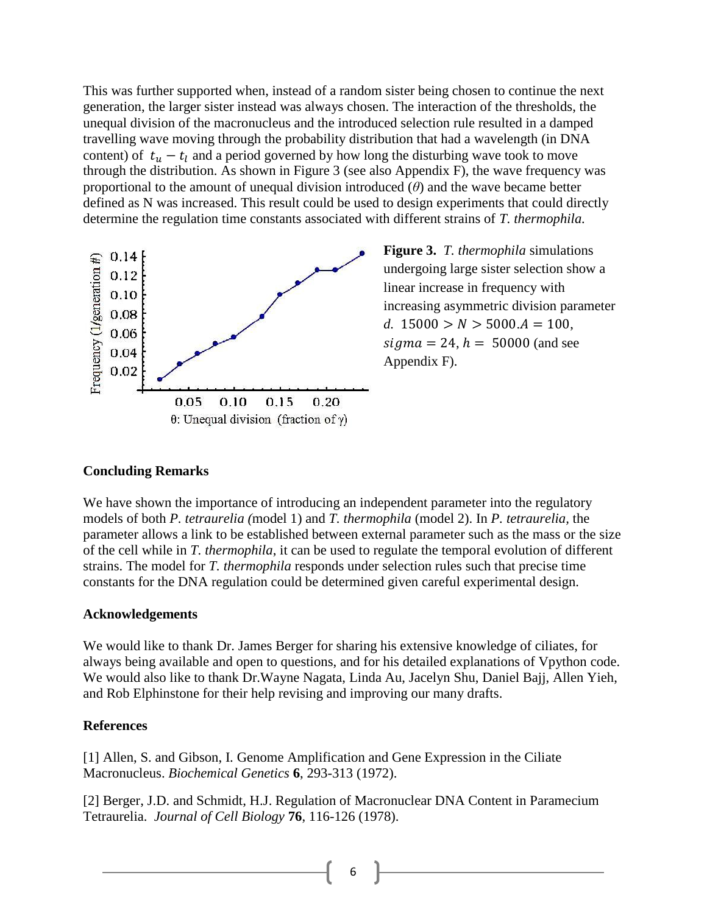This was further supported when, instead of a random sister being chosen to continue the next generation, the larger sister instead was always chosen. The interaction of the thresholds, the unequal division of the macronucleus and the introduced selection rule resulted in a damped travelling wave moving through the probability distribution that had a wavelength (in DNA content) of  $t_u - t_l$  and a period governed by how long the disturbing wave took to move through the distribution. As shown in Figure 3 (see also Appendix F), the wave frequency was proportional to the amount of unequal division introduced (*θ*) and the wave became better defined as N was increased. This result could be used to design experiments that could directly determine the regulation time constants associated with different strains of *T. thermophila.*



**Figure 3.** *T. thermophila* simulations undergoing large sister selection show a linear increase in frequency with increasing asymmetric division parameter *d.*  $15000 > N > 5000.A = 100$ ,  $sigma = 24$ ,  $h = 50000$  (and see Appendix F).

### **Concluding Remarks**

We have shown the importance of introducing an independent parameter into the regulatory models of both *P. tetraurelia (*model 1) and *T. thermophila* (model 2). In *P. tetraurelia,* the parameter allows a link to be established between external parameter such as the mass or the size of the cell while in *T. thermophila*, it can be used to regulate the temporal evolution of different strains. The model for *T. thermophila* responds under selection rules such that precise time constants for the DNA regulation could be determined given careful experimental design.

### **Acknowledgements**

We would like to thank Dr. James Berger for sharing his extensive knowledge of ciliates, for always being available and open to questions, and for his detailed explanations of Vpython code. We would also like to thank Dr.Wayne Nagata, Linda Au, Jacelyn Shu, Daniel Bajj, Allen Yieh, and Rob Elphinstone for their help revising and improving our many drafts.

### **References**

[1] Allen, S. and Gibson, I. Genome Amplification and Gene Expression in the Ciliate Macronucleus. *Biochemical Genetics* **6**, 293-313 (1972).

[2] Berger, J.D. and Schmidt, H.J. Regulation of Macronuclear DNA Content in Paramecium Tetraurelia. *Journal of Cell Biology* **76**, 116-126 (1978).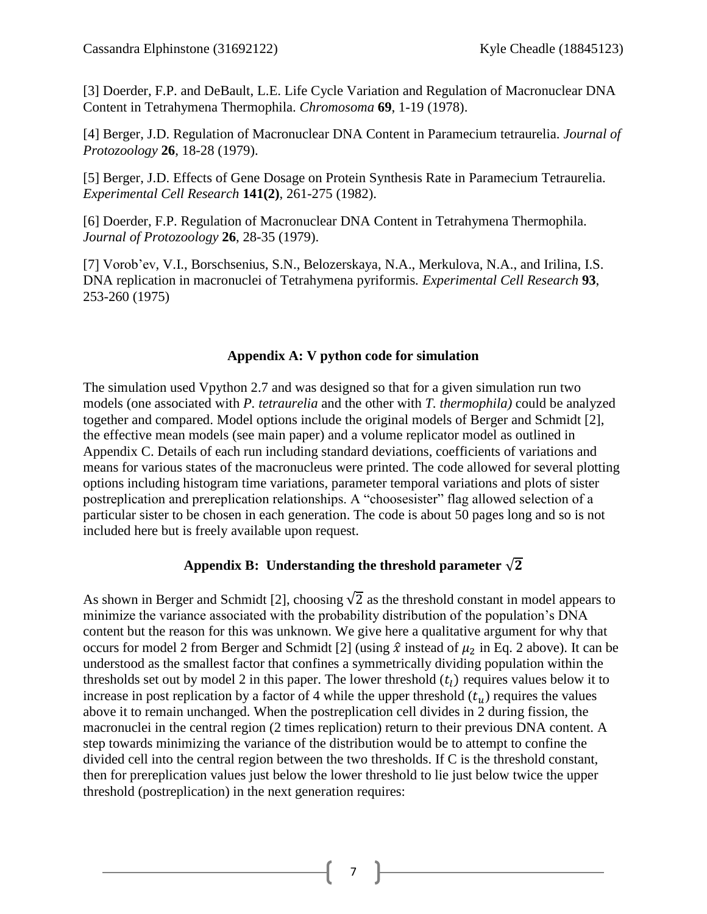[3] Doerder, F.P. and DeBault, L.E. Life Cycle Variation and Regulation of Macronuclear DNA Content in Tetrahymena Thermophila. *Chromosoma* **69**, 1-19 (1978).

[4] Berger, J.D. Regulation of Macronuclear DNA Content in Paramecium tetraurelia. *Journal of Protozoology* **26**, 18-28 (1979).

[5] Berger, J.D. Effects of Gene Dosage on Protein Synthesis Rate in Paramecium Tetraurelia. *Experimental Cell Research* **141(2)**, 261-275 (1982).

[6] Doerder, F.P. Regulation of Macronuclear DNA Content in Tetrahymena Thermophila. *Journal of Protozoology* **26**, 28-35 (1979).

[7] Vorob'ev, V.I., Borschsenius, S.N., Belozerskaya, N.A., Merkulova, N.A., and Irilina, I.S. DNA replication in macronuclei of Tetrahymena pyriformis*. Experimental Cell Research* **93**, 253-260 (1975)

# **Appendix A: V python code for simulation**

The simulation used Vpython 2.7 and was designed so that for a given simulation run two models (one associated with *P. tetraurelia* and the other with *T. thermophila)* could be analyzed together and compared. Model options include the original models of Berger and Schmidt [2], the effective mean models (see main paper) and a volume replicator model as outlined in Appendix C. Details of each run including standard deviations, coefficients of variations and means for various states of the macronucleus were printed. The code allowed for several plotting options including histogram time variations, parameter temporal variations and plots of sister postreplication and prereplication relationships. A "choosesister" flag allowed selection of a particular sister to be chosen in each generation. The code is about 50 pages long and so is not included here but is freely available upon request.

# Appendix B: Understanding the threshold parameter  $\sqrt{2}$

As shown in Berger and Schmidt [2], choosing  $\sqrt{2}$  as the threshold constant in model appears to minimize the variance associated with the probability distribution of the population's DNA content but the reason for this was unknown. We give here a qualitative argument for why that occurs for model 2 from Berger and Schmidt [2] (using  $\hat{x}$  instead of  $\mu_2$  in Eq. 2 above). It can be understood as the smallest factor that confines a symmetrically dividing population within the thresholds set out by model 2 in this paper. The lower threshold  $(t_l)$  requires values below it to increase in post replication by a factor of 4 while the upper threshold  $(t<sub>u</sub>)$  requires the values above it to remain unchanged. When the postreplication cell divides in 2 during fission, the macronuclei in the central region (2 times replication) return to their previous DNA content. A step towards minimizing the variance of the distribution would be to attempt to confine the divided cell into the central region between the two thresholds. If C is the threshold constant, then for prereplication values just below the lower threshold to lie just below twice the upper threshold (postreplication) in the next generation requires:

7 **|**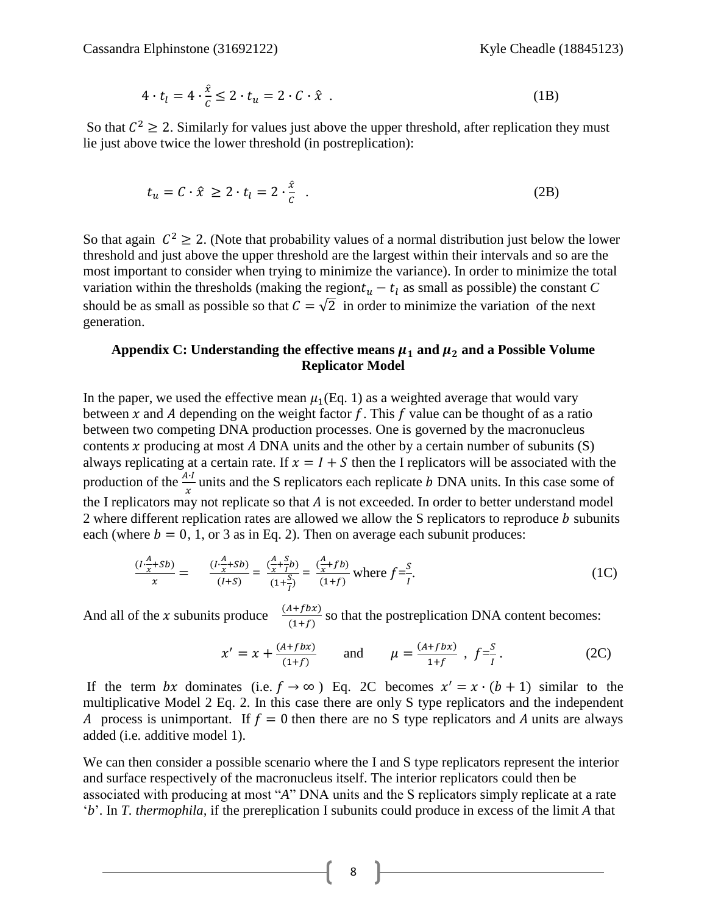$$
4 \cdot t_l = 4 \cdot \frac{\hat{x}}{c} \le 2 \cdot t_u = 2 \cdot C \cdot \hat{x} \tag{1B}
$$

So that  $C^2 \ge 2$ . Similarly for values just above the upper threshold, after replication they must lie just above twice the lower threshold (in postreplication):

$$
t_u = C \cdot \hat{x} \ge 2 \cdot t_l = 2 \cdot \frac{\hat{x}}{c} \quad . \tag{2B}
$$

So that again  $C^2 \ge 2$ . (Note that probability values of a normal distribution just below the lower threshold and just above the upper threshold are the largest within their intervals and so are the most important to consider when trying to minimize the variance). In order to minimize the total variation within the thresholds (making the region  $t_u - t_l$  as small as possible) the constant *C* should be as small as possible so that  $C = \sqrt{2}$  in order to minimize the variation of the next generation.

### Appendix C: Understanding the effective means  $\mu_1$  and  $\mu_2$  and a Possible Volume **Replicator Model**

In the paper, we used the effective mean  $\mu_1(Eq. 1)$  as a weighted average that would vary between x and A depending on the weight factor f. This f value can be thought of as a ratio between two competing DNA production processes. One is governed by the macronucleus contents x producing at most A DNA units and the other by a certain number of subunits  $(S)$ always replicating at a certain rate. If  $x = I + S$  then the I replicators will be associated with the production of the  $\frac{A^{n}}{x}$  units and the S replicators each replicate b DNA units. In this case some of the I replicators may not replicate so that  $A$  is not exceeded. In order to better understand model 2 where different replication rates are allowed we allow the S replicators to reproduce  *subunits* each (where  $b = 0, 1,$  or 3 as in Eq. 2). Then on average each subunit produces:

$$
\frac{(I \cdot \frac{A}{x} + Sb)}{x} = \frac{(I \cdot \frac{A}{x} + Sb)}{(I+S)} = \frac{(\frac{A}{x} + \frac{S}{I}b)}{(1+\frac{S}{I})} = \frac{(\frac{A}{x} + fb)}{(1+f)}
$$
 where  $f = \frac{S}{I}$ . (1C)

And all of the x subunits produce  $\frac{(A+f)B(x)}{(1+f)}$  so that the postreplication DNA content becomes:

$$
x' = x + \frac{(A+fbx)}{(1+f)}
$$
 and  $\mu = \frac{(A+fbx)}{1+f}$ ,  $f = \frac{s}{1}$ . (2C)

If the term bx dominates (i.e.  $f \rightarrow \infty$ ) Eq. 2C becomes  $x' = x \cdot (b + 1)$  similar to the multiplicative Model 2 Eq. 2. In this case there are only S type replicators and the independent A process is unimportant. If  $f = 0$  then there are no S type replicators and A units are always added (i.e. additive model 1).

We can then consider a possible scenario where the I and S type replicators represent the interior and surface respectively of the macronucleus itself. The interior replicators could then be associated with producing at most "*A*" DNA units and the S replicators simply replicate at a rate '*b*'. In *T. thermophila,* if the prereplication I subunits could produce in excess of the limit *A* that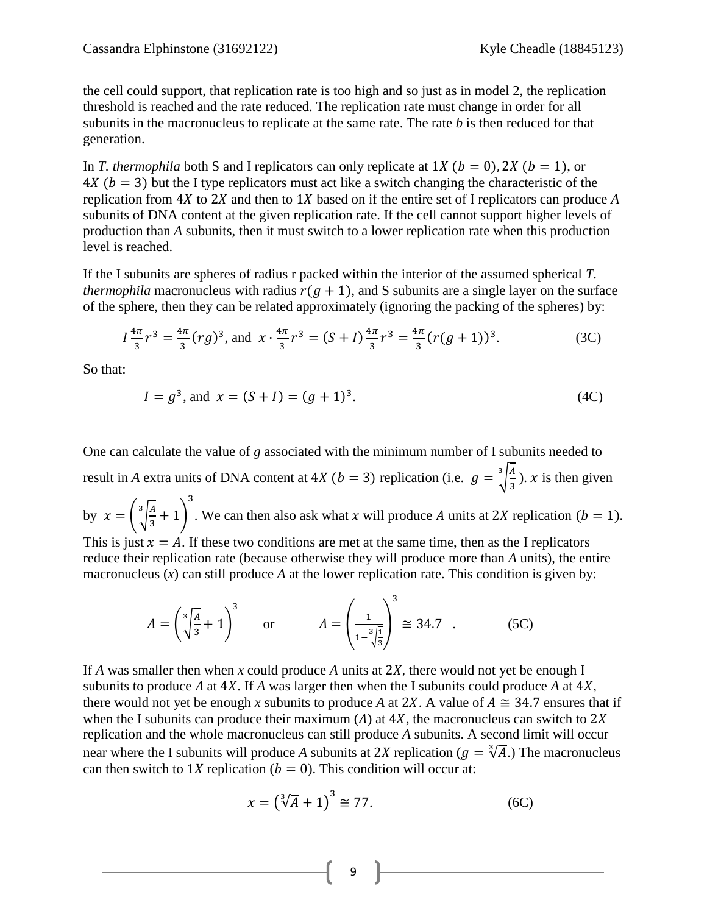the cell could support, that replication rate is too high and so just as in model 2, the replication threshold is reached and the rate reduced. The replication rate must change in order for all subunits in the macronucleus to replicate at the same rate. The rate *b* is then reduced for that generation.

In *T. thermophila* both S and I replicators can only replicate at 1*X* ( $b = 0$ ), 2*X* ( $b = 1$ ), or  $4X (b = 3)$  but the I type replicators must act like a switch changing the characteristic of the replication from  $4X$  to  $2X$  and then to  $1X$  based on if the entire set of I replicators can produce A subunits of DNA content at the given replication rate. If the cell cannot support higher levels of production than *A* subunits, then it must switch to a lower replication rate when this production level is reached.

If the I subunits are spheres of radius r packed within the interior of the assumed spherical *T. thermophila* macronucleus with radius  $r(g + 1)$ , and S subunits are a single layer on the surface of the sphere, then they can be related approximately (ignoring the packing of the spheres) by:

$$
I\frac{4\pi}{3}r^3 = \frac{4\pi}{3}(rg)^3
$$
, and  $x \cdot \frac{4\pi}{3}r^3 = (S+I)\frac{4\pi}{3}r^3 = \frac{4\pi}{3}(r(g+1))^3$ . (3C)

So that:

$$
I = g^3, \text{ and } x = (S + I) = (g + 1)^3. \tag{4C}
$$

One can calculate the value of *g* associated with the minimum number of I subunits needed to result in *A* extra units of DNA content at 4*X* (*b* = 3) replication (i.e.  $g = \frac{3}{4}$ 3  $\int_{0}^{3} \frac{A}{2}$ ). x is then given by  $x = \frac{3}{4}$ 3  $\frac{3}{4}$  + 3 . We can then also ask what  $x$  will produce  $A$  units at  $2X$  replication This is just  $x = A$ . If these two conditions are met at the same time, then as the I replicators reduce their replication rate (because otherwise they will produce more than *A* units), the entire macronucleus  $(x)$  can still produce A at the lower replication rate. This condition is given by:

$$
A = \left(\sqrt[3]{\frac{A}{3}} + 1\right)^3 \quad \text{or} \quad A = \left(\frac{1}{1 - \sqrt[3]{\frac{1}{3}}}\right)^3 \approx 34.7 \quad . \tag{5C}
$$

If *A* was smaller then when *x* could produce *A* units at 2*X*, there would not yet be enough I subunits to produce A at  $4X$ . If A was larger then when the I subunits could produce A at  $4X$ , there would not yet be enough x subunits to produce A at 2X. A value of  $A \cong 34.7$  ensures that if when the I subunits can produce their maximum (A) at  $4X$ , the macronucleus can switch to  $2X$ replication and the whole macronucleus can still produce *A* subunits. A second limit will occur near where the I subunits will produce A subunits at 2X replication ( $g = \sqrt[3]{A}$ .) The macronucleus can then switch to 1X replication ( $b = 0$ ). This condition will occur at:

$$
x = \left(\sqrt[3]{A} + 1\right)^3 \cong 77. \tag{6C}
$$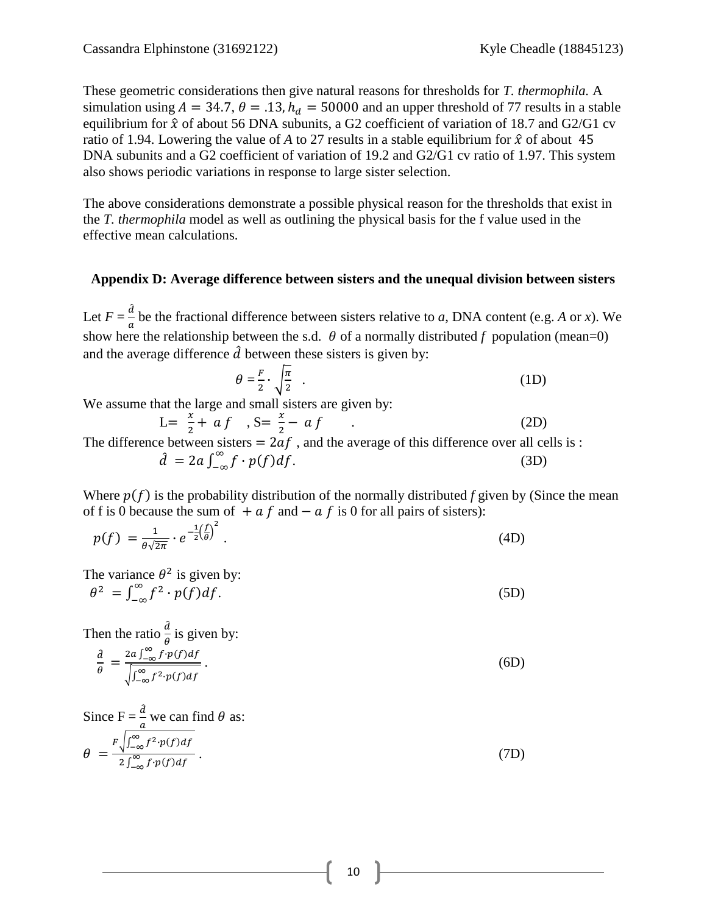These geometric considerations then give natural reasons for thresholds for *T. thermophila.* A simulation using  $A = 34.7$ ,  $\theta = .13$ ,  $h_d = 50000$  and an upper threshold of 77 results in a stable equilibrium for  $\hat{x}$  of about 56 DNA subunits, a G2 coefficient of variation of 18.7 and G2/G1 cv ratio of 1.94. Lowering the value of A to 27 results in a stable equilibrium for  $\hat{x}$  of about 45 DNA subunits and a G2 coefficient of variation of 19.2 and G2/G1 cv ratio of 1.97. This system also shows periodic variations in response to large sister selection.

The above considerations demonstrate a possible physical reason for the thresholds that exist in the *T. thermophila* model as well as outlining the physical basis for the f value used in the effective mean calculations.

# **Appendix D: Average difference between sisters and the unequal division between sisters**

Let  $F = \frac{\partial}{\partial x}$  $\frac{a}{a}$  be the fractional difference between sisters relative to *a*, DNA content (e.g. *A* or *x*). We show here the relationship between the s.d.  $\theta$  of a normally distributed f population (mean=0) and the average difference  $\hat{d}$  between these sisters is given by:

$$
\theta = \frac{F}{2} \cdot \sqrt{\frac{\pi}{2}} \quad . \tag{1D}
$$

We assume that the large and small sisters are given by:

 $L = \frac{x}{2}$  $\frac{x}{2}$  + a f , S =  $\frac{x}{2}$  $\frac{x}{2} - af$  (2D) The difference between sisters  $= 2af$ , and the average of this difference over all cells is :  $\hat{d} = 2a \int_{-\infty}^{\infty} f \cdot p(f) df.$ .  $(3D)$ 

Where  $p(f)$  is the probability distribution of the normally distributed *f* given by (Since the mean of f is 0 because the sum of  $a \dot{f}$  and  $-\alpha \dot{f}$  is 0 for all pairs of sisters):

$$
p(f) = \frac{1}{\theta\sqrt{2\pi}} \cdot e^{-\frac{1}{2}\left(\frac{f}{\theta}\right)^2}.
$$
\n(4D)

The variance  $\theta^2$  is given by:

 $2 = \int_{-\infty}^{\infty} f^2$ . .  $(5D)$ 

Then the ratio  $\frac{a}{\theta}$  is given by:

$$
\frac{\partial}{\partial \theta} = \frac{2a \int_{-\infty}^{\infty} f \cdot p(f) df}{\sqrt{\int_{-\infty}^{\infty} f^2 \cdot p(f) df}}.
$$
\n<sup>(6D)</sup>

Since 
$$
F = \frac{d}{a}
$$
 we can find  $\theta$  as:  
\n
$$
\theta = \frac{F \sqrt{\int_{-\infty}^{\infty} f^2 \cdot p(f) df}}{2 \int_{-\infty}^{\infty} f \cdot p(f) df}.
$$
\n(7D)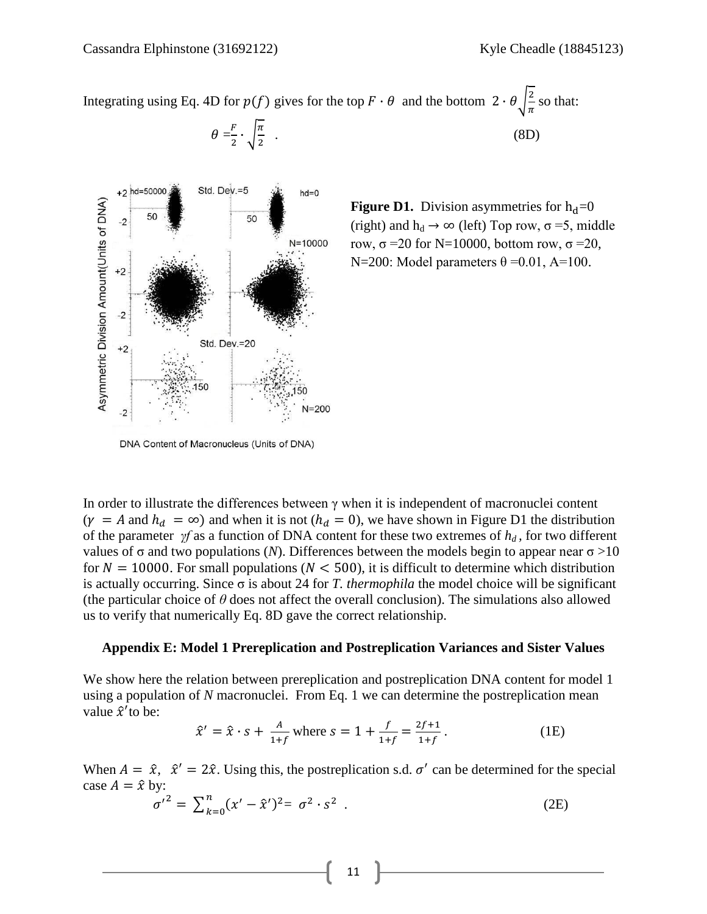Integrating using Eq. 4D for  $p(f)$  gives for the top  $F \cdot \theta$  and the bottom  $2 \cdot \theta \frac{2}{f}$  $\frac{2}{\pi}$  so that:



 $\theta = \frac{F}{2}$  $\frac{F}{2} \cdot \sqrt{\frac{\pi}{2}}$  $\overline{\mathbf{c}}$ 



**Figure D1.** Division asymmetries for  $h_d = 0$ (right) and  $h_d \rightarrow \infty$  (left) Top row,  $\sigma = 5$ , middle row,  $\sigma$  =20 for N=10000, bottom row,  $\sigma$  =20, N=200: Model parameters  $\theta = 0.01$ , A=100.

DNA Content of Macronucleus (Units of DNA)

In order to illustrate the differences between  $\gamma$  when it is independent of macronuclei content  $(\gamma = A \text{ and } h_d = \infty)$  and when it is not  $(h_d = 0)$ , we have shown in Figure D1 the distribution of the parameter *γf* as a function of DNA content for these two extremes of *h<sup>d</sup> ,* for two different values of  $\sigma$  and two populations (*N*). Differences between the models begin to appear near  $\sigma > 10$ for  $N = 10000$ . For small populations ( $N < 500$ ), it is difficult to determine which distribution is actually occurring. Since σ is about 24 for *T. thermophila* the model choice will be significant (the particular choice of *θ* does not affect the overall conclusion). The simulations also allowed us to verify that numerically Eq. 8D gave the correct relationship.

#### **Appendix E: Model 1 Prereplication and Postreplication Variances and Sister Values**

We show here the relation between prereplication and postreplication DNA content for model 1 using a population of *N* macronuclei. From Eq. 1 we can determine the postreplication mean value  $\hat{x}'$  to be:

$$
\hat{x}' = \hat{x} \cdot s + \frac{A}{1+f} \text{ where } s = 1 + \frac{f}{1+f} = \frac{2f+1}{1+f}. \tag{1E}
$$

When  $A = \hat{x}$ ,  $\hat{x}' = 2\hat{x}$ . Using this, the postreplication s.d.  $\sigma'$  can be determined for the special case  $A = \hat{x}$  by:

$$
{\sigma'}^2 = \sum_{k=0}^n (x' - \hat{x}')^2 = {\sigma}^2 \cdot s^2
$$
 (2E)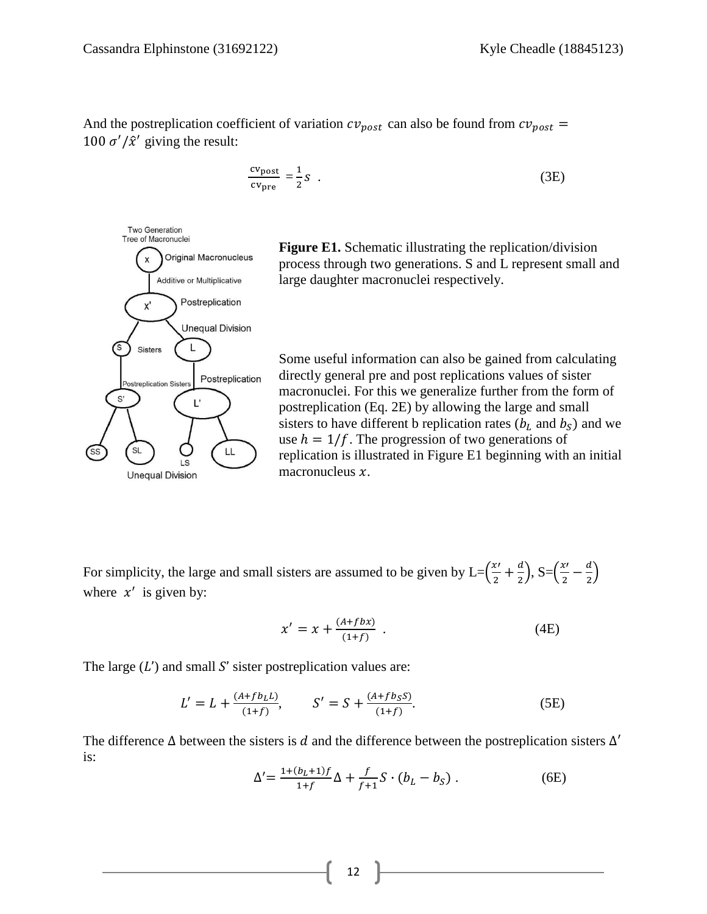And the postreplication coefficient of variation  $cv_{post}$  can also be found from  $cv_{post}$  = 100  $\sigma'/\hat{x}'$  giving the result:

$$
\frac{\text{cv}_{\text{post}}}{\text{cv}_{\text{pre}}} = \frac{1}{2} S \tag{3E}
$$



**Figure E1.** Schematic illustrating the replication/division process through two generations. S and L represent small and large daughter macronuclei respectively.

Some useful information can also be gained from calculating directly general pre and post replications values of sister macronuclei. For this we generalize further from the form of postreplication (Eq. 2E) by allowing the large and small sisters to have different b replication rates  $(b<sub>L</sub>$  and  $b<sub>S</sub>)$  and we use  $h = 1/f$ . The progression of two generations of replication is illustrated in Figure E1 beginning with an initial macronucleus  $x$ .

For simplicity, the large and small sisters are assumed to be given by  $L = (\frac{x}{e})$  $\frac{x}{2} + \frac{d}{2}$  $\left(\frac{d}{2}\right)$ , S= $\left(\frac{x}{2}\right)$  $\frac{x}{2} - \frac{d}{2}$  $\frac{u}{2}$ where  $x'$  is given by:

$$
x' = x + \frac{(A+fbx)}{(1+f)} \tag{4E}
$$

The large  $(L')$  and small S' sister postreplication values are:

$$
L' = L + \frac{(A + fb_L L)}{(1 + f)}, \qquad S' = S + \frac{(A + fb_S S)}{(1 + f)}.
$$
 (5E)

The difference  $\Delta$  between the sisters is d and the difference between the postreplication sisters  $\Delta'$ is:

$$
\Delta' = \frac{1 + (b_L + 1)f}{1 + f} \Delta + \frac{f}{f + 1} S \cdot (b_L - b_S) .
$$
 (6E)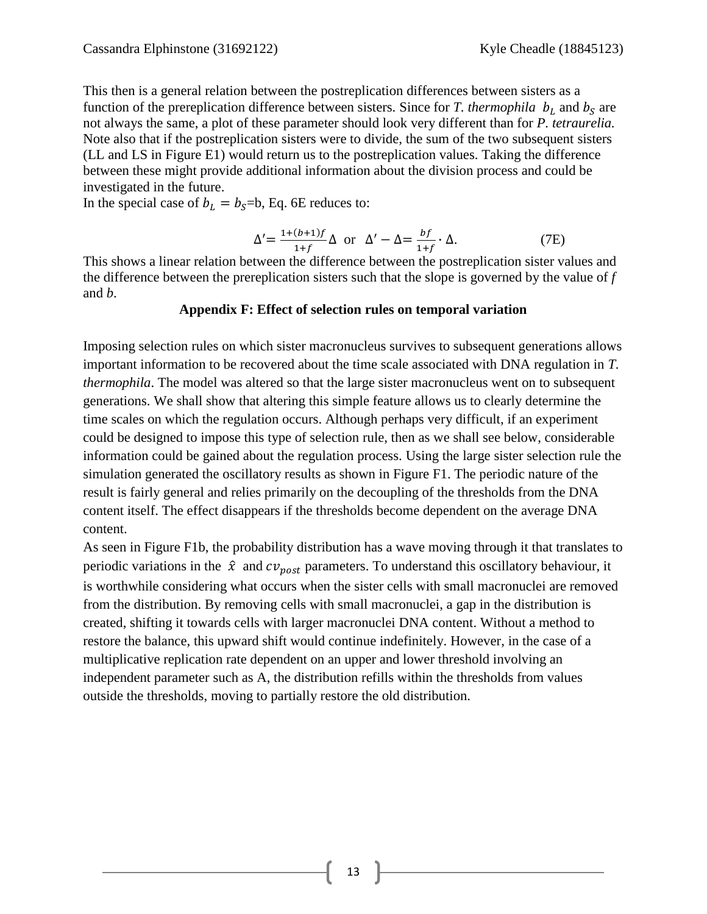This then is a general relation between the postreplication differences between sisters as a function of the prereplication difference between sisters. Since for *T. thermophila*  $b<sub>L</sub>$  and  $b<sub>S</sub>$  are not always the same, a plot of these parameter should look very different than for *P. tetraurelia.* Note also that if the postreplication sisters were to divide, the sum of the two subsequent sisters (LL and LS in Figure E1) would return us to the postreplication values. Taking the difference between these might provide additional information about the division process and could be investigated in the future.

In the special case of  $b_L = b_S = b$ , Eq. 6E reduces to:

$$
\Delta' = \frac{1 + (b+1)f}{1+f} \Delta \text{ or } \Delta' - \Delta = \frac{bf}{1+f} \cdot \Delta. \tag{7E}
$$

This shows a linear relation between the difference between the postreplication sister values and the difference between the prereplication sisters such that the slope is governed by the value of *f*  and *b*.

### **Appendix F: Effect of selection rules on temporal variation**

Imposing selection rules on which sister macronucleus survives to subsequent generations allows important information to be recovered about the time scale associated with DNA regulation in *T. thermophila*. The model was altered so that the large sister macronucleus went on to subsequent generations. We shall show that altering this simple feature allows us to clearly determine the time scales on which the regulation occurs. Although perhaps very difficult, if an experiment could be designed to impose this type of selection rule, then as we shall see below, considerable information could be gained about the regulation process. Using the large sister selection rule the simulation generated the oscillatory results as shown in Figure F1. The periodic nature of the result is fairly general and relies primarily on the decoupling of the thresholds from the DNA content itself. The effect disappears if the thresholds become dependent on the average DNA content.

As seen in Figure F1b, the probability distribution has a wave moving through it that translates to periodic variations in the  $\hat{x}$  and  $cv_{post}$  parameters. To understand this oscillatory behaviour, it is worthwhile considering what occurs when the sister cells with small macronuclei are removed from the distribution. By removing cells with small macronuclei, a gap in the distribution is created, shifting it towards cells with larger macronuclei DNA content. Without a method to restore the balance, this upward shift would continue indefinitely. However, in the case of a multiplicative replication rate dependent on an upper and lower threshold involving an independent parameter such as A, the distribution refills within the thresholds from values outside the thresholds, moving to partially restore the old distribution.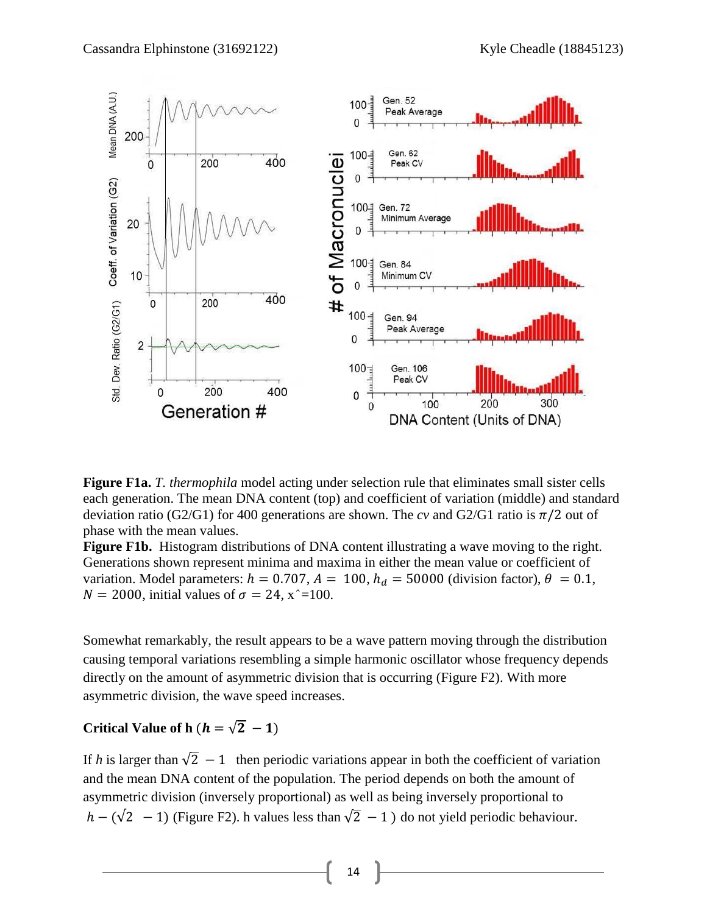

**Figure F1a.** *T. thermophila* model acting under selection rule that eliminates small sister cells each generation. The mean DNA content (top) and coefficient of variation (middle) and standard deviation ratio (G2/G1) for 400 generations are shown. The *cv* and G2/G1 ratio is  $\pi/2$  out of phase with the mean values.

**Figure F1b.** Histogram distributions of DNA content illustrating a wave moving to the right. Generations shown represent minima and maxima in either the mean value or coefficient of variation. Model parameters:  $h = 0.707$ ,  $A = 100$ ,  $h_d = 50000$  (division factor),  $\theta = 0.1$ ,  $N = 2000$ , initial values of  $\sigma = 24$ ,  $x \approx 100$ .

Somewhat remarkably, the result appears to be a wave pattern moving through the distribution causing temporal variations resembling a simple harmonic oscillator whose frequency depends directly on the amount of asymmetric division that is occurring (Figure F2). With more asymmetric division, the wave speed increases.

### **Critical Value of h**  $(h = \sqrt{2} - 1)$

If *h* is larger than  $\sqrt{2} - 1$  then periodic variations appear in both the coefficient of variation and the mean DNA content of the population. The period depends on both the amount of asymmetric division (inversely proportional) as well as being inversely proportional to  $h - (\sqrt{2} - 1)$  (Figure F2). h values less than  $\sqrt{2} - 1$ ) do not yield periodic behaviour.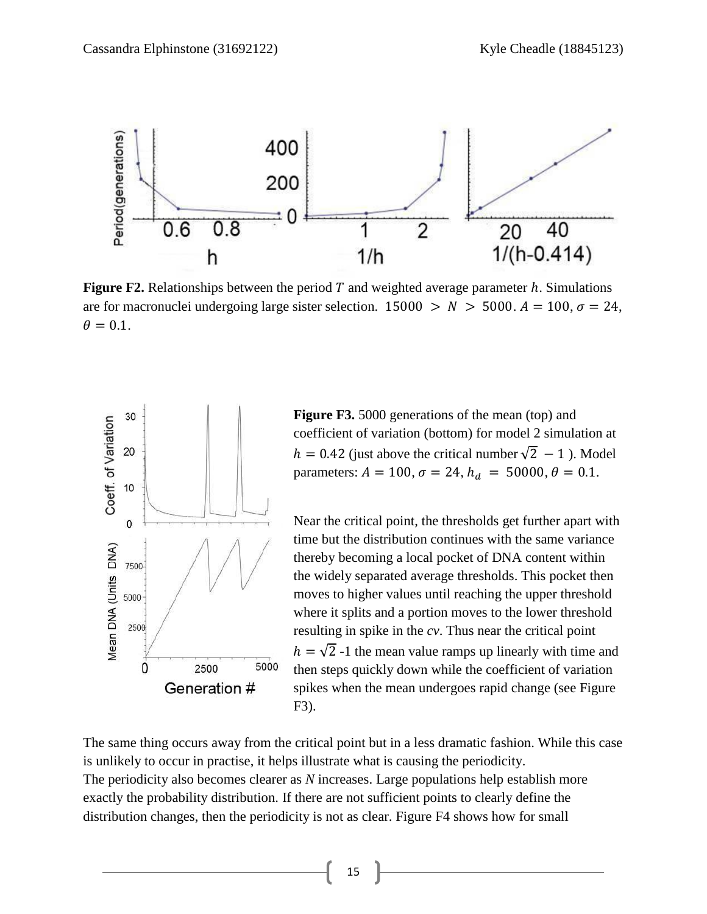

**Figure F2.** Relationships between the period T and weighted average parameter  $h$ . Simulations are for macronuclei undergoing large sister selection.  $15000 > N > 5000$ .  $A = 100$ ,  $\sigma = 24$ .  $\theta = 0.1$ .



**Figure F3.** 5000 generations of the mean (top) and coefficient of variation (bottom) for model 2 simulation at  $h = 0.42$  (just above the critical number  $\sqrt{2} - 1$ ). Model parameters:  $A = 100$ ,  $\sigma = 24$ ,  $h_d = 50000$ ,  $\theta = 0.1$ .

Near the critical point, the thresholds get further apart with time but the distribution continues with the same variance thereby becoming a local pocket of DNA content within the widely separated average thresholds. This pocket then moves to higher values until reaching the upper threshold where it splits and a portion moves to the lower threshold resulting in spike in the *cv*. Thus near the critical point  $h = \sqrt{2}$  -1 the mean value ramps up linearly with time and then steps quickly down while the coefficient of variation spikes when the mean undergoes rapid change (see Figure F3).

The same thing occurs away from the critical point but in a less dramatic fashion. While this case is unlikely to occur in practise, it helps illustrate what is causing the periodicity. The periodicity also becomes clearer as *N* increases. Large populations help establish more exactly the probability distribution. If there are not sufficient points to clearly define the distribution changes, then the periodicity is not as clear. Figure F4 shows how for small